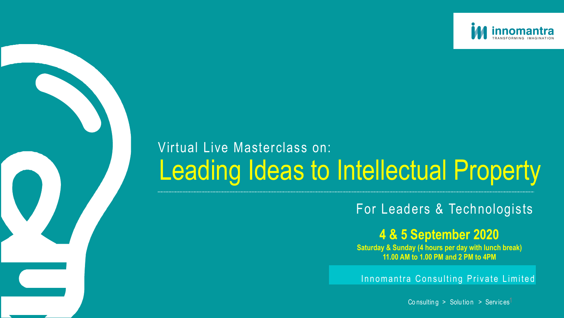## Innomantra Consulting Private Limited

Co n sulting  $>$  Solution  $>$  Services<sup>1</sup>

# Leading Ideas to Intellectual Property Virtual Live Masterclass on:



## For Leaders & Technologists

## **4 & 5 September 2020**

**Saturday & Sunday (4 hours per day with lunch break) 11.00 AM to 1.00 PM and 2 PM to 4PM**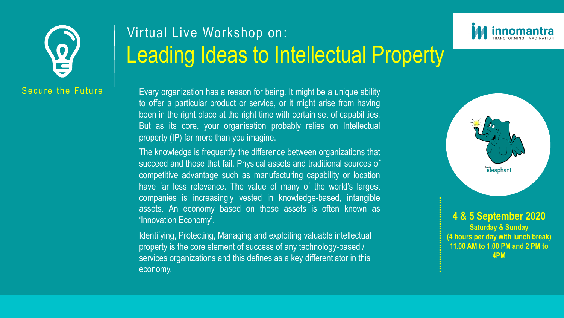Every organization has a reason for being. It might be a unique ability to offer a particular product or service, or it might arise from having been in the right place at the right time with certain set of capabilities. But as its core, your organisation probably relies on Intellectual property (IP) far more than you imagine.

# Leading Ideas to Intellectual Property Virtual Live Workshop on:

The knowledge is frequently the difference between organizations that succeed and those that fail. Physical assets and traditional sources of competitive advantage such as manufacturing capability or location have far less relevance. The value of many of the world's largest companies is increasingly vested in knowledge-based, intangible assets. An economy based on these assets is often known as 'Innovation Economy'.

Identifying, Protecting, Managing and exploiting valuable intellectual property is the core element of success of any technology-based / services organizations and this defines as a key differentiator in this economy.







### **4 & 5 September 2020 Saturday & Sunday (4 hours per day with lunch break) 11.00 AM to 1.00 PM and 2 PM to 4PM**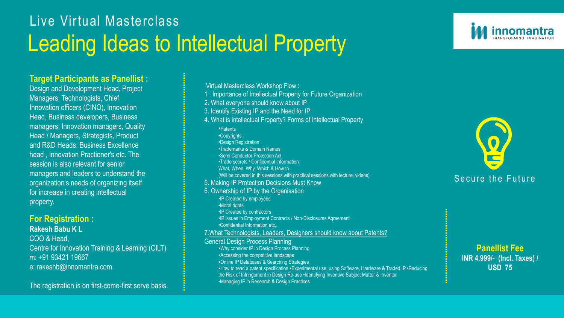

## Leading Ideas to Intellectual Property Live Virtual Masterclass

#### **Target Participants as Panellist :**

Design and Development Head, Project Managers, Technologists, Chief Innovation officers (CINO), Innovation Head, Business developers, Business managers, Innovation managers, Quality Head / Managers, Strategists, Product and R&D Heads, Business Excellence head , Innovation Practioner's etc. The session is also relevant for senior managers and leaders to understand the organization's needs of organizing itself for increase in creating intellectual property.

#### **For Registration :**

#### **Rakesh Babu K L**

COO & Head, Centre for Innovation Training & Learning (CILT) m: +91 93421 19667 e: rakeshb@innomantra.com

The registration is on first-come-first serve basis.

**Panellist Fee INR 4,999/- (Incl. Taxes) / USD 75**

Virtual Masterclass Workshop Flow :

- 1 . Importance of Intellectual Property for Future Organization
- 2. What everyone should know about IP
- 3. Identify Existing IP and the Need for IP
- 4. What is intellectual Property? Forms of Intellectual Property •Patents •Copyrights •Design Registration •Trademarks & Domain Names •Semi Conductor Protection Act •Trade secrets / Confidential Information What, When, Why, Which & How to
	- (Will be covered in this sessions with practical sessions with lecture, videos)
- 5. Making IP Protection Decisions Must Know
- 6. Ownership of IP by the Organisation
	- •IP Created by employees
	- •Moral rights
	- •IP Created by contractors
	- •IP issues in Employment Contracts / Non-Disclosures Agreement
	- •Confidential Information etc,.

#### 7.What Technologists, Leaders, Designers should know about Patents?

#### General Design Process Planning

- ▪Why consider IP in Design Process Planning
- ▪Accessing the competitive landscape
- ▪Online IP Databases & Searching Strategies
- ■How to read a patent specification ■Experimental use, using Software, Hardware & Traded IP •Reducing the Risk of Infringement in Design Re-use •Identifying Inventive Subject Matter & Inventor •Managing IP in Research & Design Practices

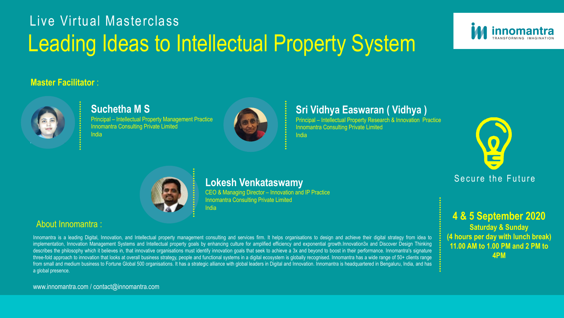

## **Suchetha M S**

Principal – Intellectual Property Management Practice **Innomantra Consulting Private Limited** India



### **Sri Vidhya Easwaran ( Vidhya )**

Principal – Intellectual Property Research & Innovation Practice

Innomantra Consulting Private Limited India



### **Master Facilitator** :



### About Innomantra :

## Live Virtual Masterclass Leading Ideas to Intellectual Property System

CEO & Managing Director – Innovation and IP Practice Innomantra Consulting Private Limited **India** 

Innomantra is a leading Digital, Innovation, and Intellectual property management consulting and services firm. It helps organisations to design and achieve their digital strategy from idea to implementation, Innovation Management Systems and Intellectual property goals by enhancing culture for amplified efficiency and exponential growth.Innovation3x and Discover Design Thinking describes the philosophy which it believes in, that innovative organisations must identify innovation goals that seek to achieve a 3x and beyond to boost in their performance. Innomantra's signature three-fold approach to innovation that looks at overall business strategy, people and functional systems in a digital ecosystem is globally recognised. Innomantra has a wide range of 50+ clients range from small and medium business to Fortune Global 500 organisations. It has a strategic alliance with global leaders in Digital and Innovation. Innomantra is headquartered in Bengaluru, India, and has a global presence.

www.innomantra.com / contact@innomantra.com



## **Lokesh Venkataswamy**

#### **4 & 5 September 2020 Saturday & Sunday (4 hours per day with lunch break) 11.00 AM to 1.00 PM and 2 PM to 4PM**